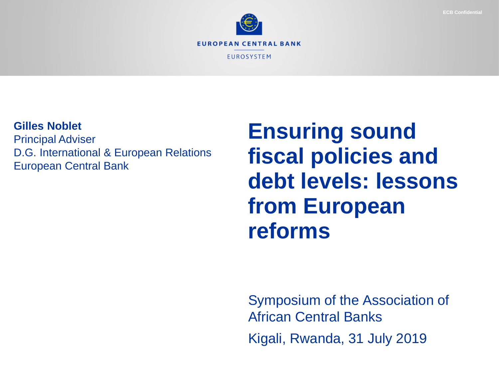



#### **Gilles Noblet**

Principal Adviser D.G. International & European Relations European Central Bank

# **Ensuring sound fiscal policies and debt levels: lessons from European reforms**

Symposium of the Association of African Central Banks Kigali, Rwanda, 31 July 2019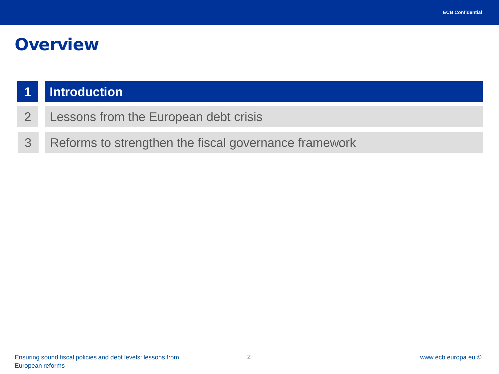#### **Overview**

#### **1 Introduction**

- 2 Lessons from the European debt crisis
- 3 Reforms to strengthen the fiscal governance framework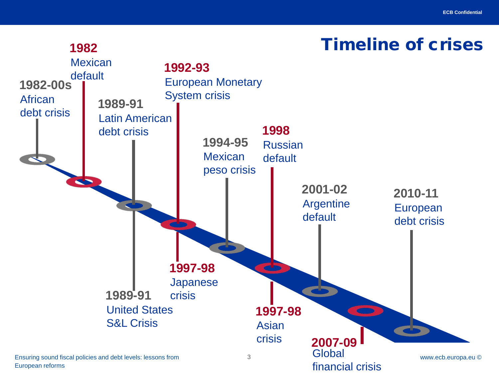# Timeline of crises

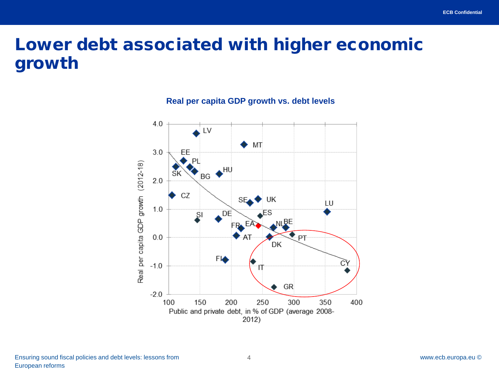# Lower debt associated with higher economic growth



**Real per capita GDP growth vs. debt levels**

4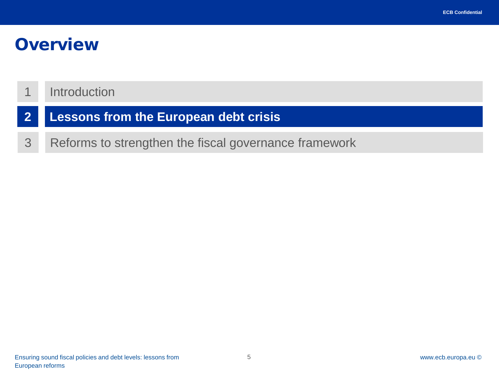#### **Overview**

#### 1 Introduction

- **2 Lessons from the European debt crisis**
- 3 Reforms to strengthen the fiscal governance framework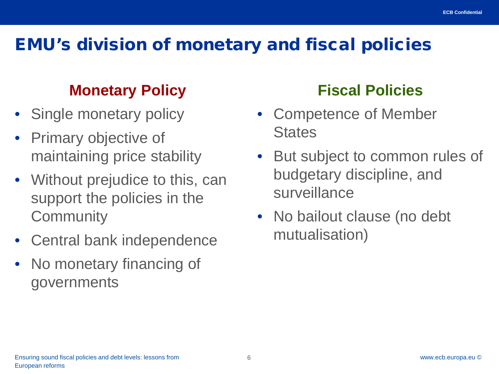# EMU's division of monetary and fiscal policies

#### **Monetary Policy**

- Single monetary policy
- Primary objective of maintaining price stability
- Without prejudice to this, can support the policies in the **Community**
- Central bank independence
- No monetary financing of governments

#### **Fiscal Policies**

- Competence of Member **States**
- But subject to common rules of budgetary discipline, and surveillance
- No bailout clause (no debt mutualisation)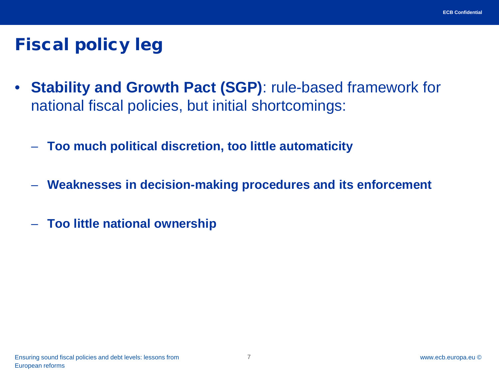# Fiscal policy leg

- **Stability and Growth Pact (SGP)**: rule-based framework for national fiscal policies, but initial shortcomings:
	- **Too much political discretion, too little automaticity**
	- **Weaknesses in decision-making procedures and its enforcement**
	- **Too little national ownership**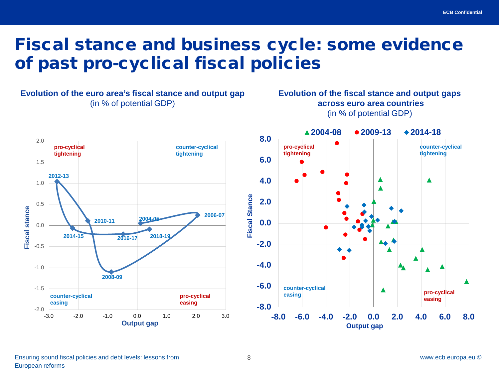### Fiscal stance and business cycle: some evidence of past pro-cyclical fiscal policies



8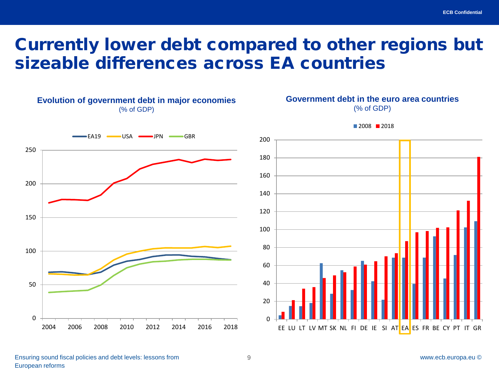#### Currently lower debt compared to other regions but sizeable differences across EA countries



#### **Government debt in the euro area countries**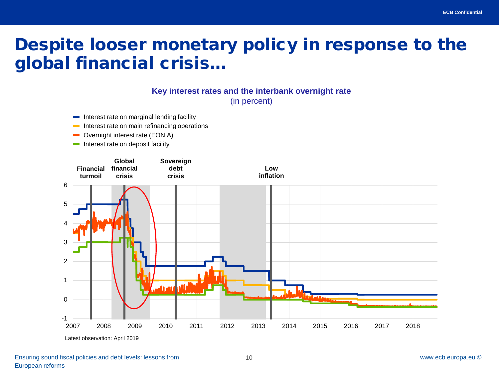### Despite looser monetary policy in response to the global financial crisis…

#### **Key interest rates and the interbank overnight rate**

(in percent)

- Interest rate on marginal lending facility
- Interest rate on main refinancing operations
- Overnight interest rate (EONIA) **The Co**
- $\blacksquare$  Interest rate on deposit facility

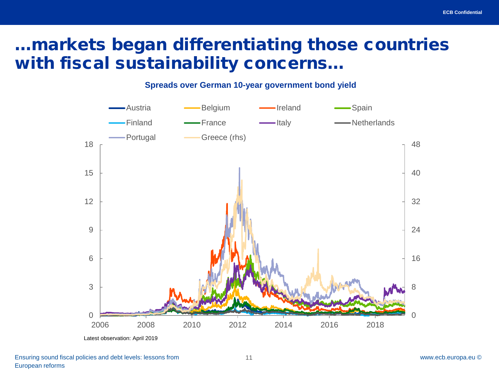## …markets began differentiating those countries with fiscal sustainability concerns…

**Spreads over German 10-year government bond yield**

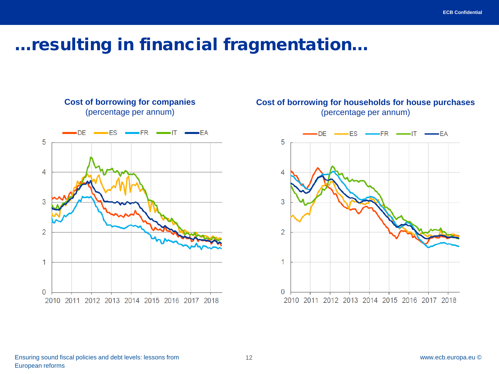#### …resulting in financial fragmentation…



**Cost of borrowing for companies**

#### **Cost of borrowing for households for house purchases** (percentage per annum)

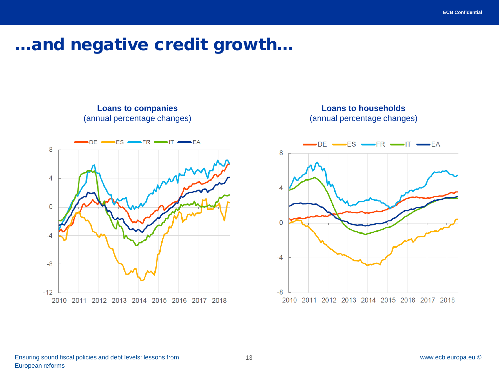#### …and negative credit growth…



**Loans to companies**



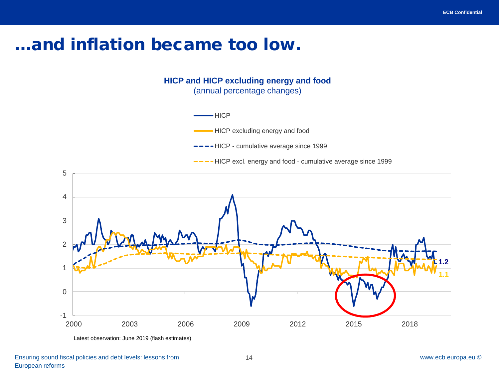#### …and inflation became too low.

**HICP and HICP excluding energy and food** (annual percentage changes)



Latest observation: June 2019 (flash estimates)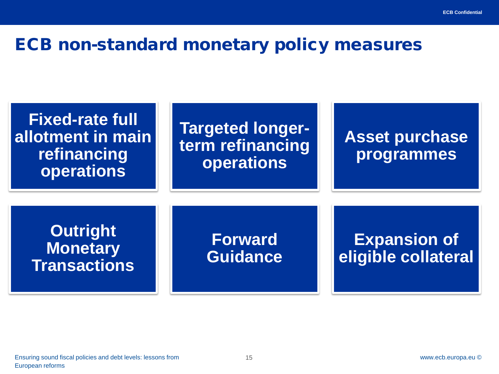#### ECB non-standard monetary policy measures

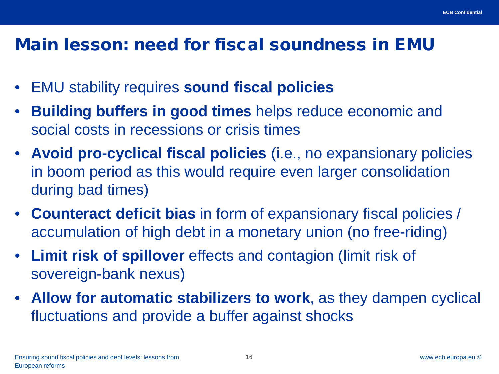#### Main lesson: need for fiscal soundness in EMU

- EMU stability requires **sound fiscal policies**
- **Building buffers in good times** helps reduce economic and social costs in recessions or crisis times
- **Avoid pro-cyclical fiscal policies** (i.e., no expansionary policies in boom period as this would require even larger consolidation during bad times)
- **Counteract deficit bias** in form of expansionary fiscal policies / accumulation of high debt in a monetary union (no free-riding)
- **Limit risk of spillover** effects and contagion (limit risk of sovereign-bank nexus)
- **Allow for automatic stabilizers to work**, as they dampen cyclical fluctuations and provide a buffer against shocks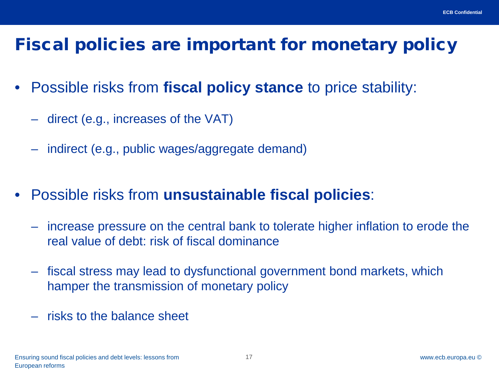# Fiscal policies are important for monetary policy

- Possible risks from **fiscal policy stance** to price stability:
	- direct (e.g., increases of the VAT)
	- indirect (e.g., public wages/aggregate demand)
- Possible risks from **unsustainable fiscal policies**:
	- increase pressure on the central bank to tolerate higher inflation to erode the real value of debt: risk of fiscal dominance
	- fiscal stress may lead to dysfunctional government bond markets, which hamper the transmission of monetary policy
	- risks to the balance sheet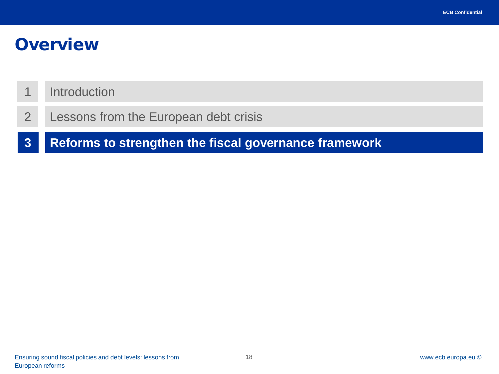#### **Overview**

#### 1 Introduction

2 Lessons from the European debt crisis

**3 Reforms to strengthen the fiscal governance framework**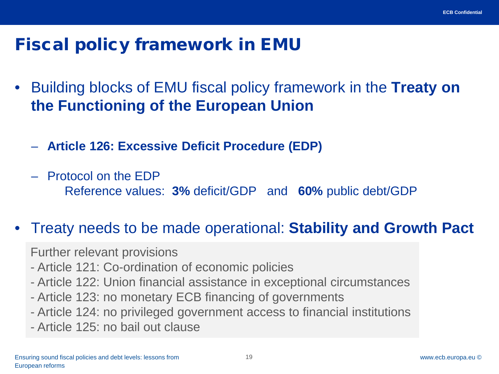#### Fiscal policy framework in EMU

- Building blocks of EMU fiscal policy framework in the **Treaty on the Functioning of the European Union**
	- **Article 126: Excessive Deficit Procedure (EDP)**
	- Protocol on the EDP Reference values: **3%** deficit/GDP and **60%** public debt/GDP

#### • Treaty needs to be made operational: **Stability and Growth Pact**

Further relevant provisions

- Article 121: Co-ordination of economic policies
- Article 122: Union financial assistance in exceptional circumstances
- Article 123: no monetary ECB financing of governments
- Article 124: no privileged government access to financial institutions
- Article 125: no bail out clause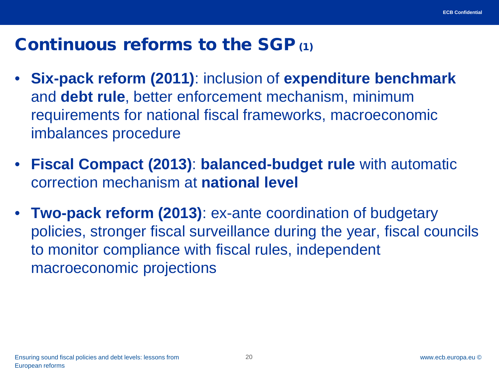#### Continuous reforms to the SGP (1)

- **Six-pack reform (2011)**: inclusion of **expenditure benchmark**  and **debt rule**, better enforcement mechanism, minimum requirements for national fiscal frameworks, macroeconomic imbalances procedure
- **Fiscal Compact (2013)**: **balanced-budget rule** with automatic correction mechanism at **national level**
- **Two-pack reform (2013)**: ex-ante coordination of budgetary policies, stronger fiscal surveillance during the year, fiscal councils to monitor compliance with fiscal rules, independent macroeconomic projections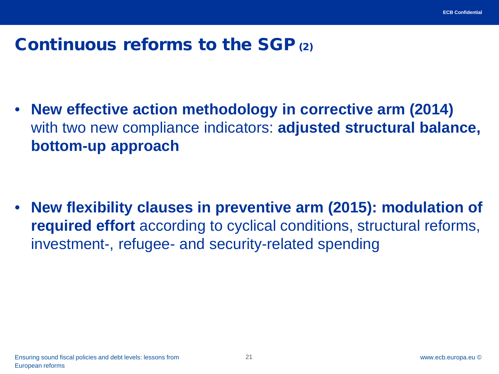### Continuous reforms to the SGP (2)

• **New effective action methodology in corrective arm (2014)**  with two new compliance indicators: **adjusted structural balance, bottom-up approach**

• **New flexibility clauses in preventive arm (2015): modulation of required effort** according to cyclical conditions, structural reforms, investment-, refugee- and security-related spending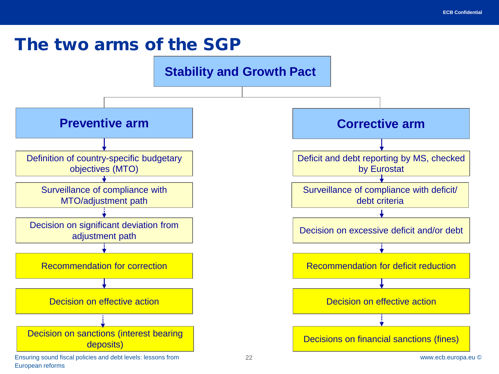#### The two arms of the SGP

European reforms



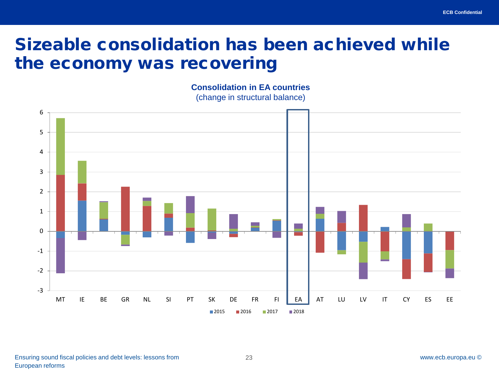### Sizeable consolidation has been achieved while the economy was recovering

**Consolidation in EA countries**  (change in structural balance)

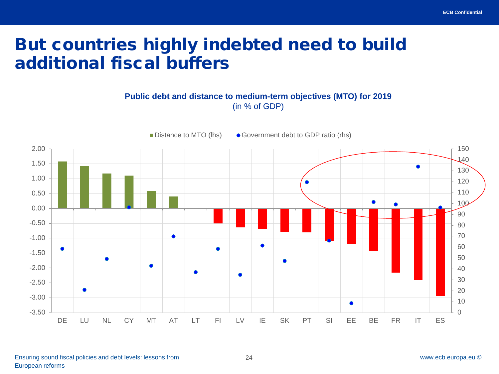### But countries highly indebted need to build additional fiscal buffers

#### **Public debt and distance to medium-term objectives (MTO) for 2019** (in % of GDP)

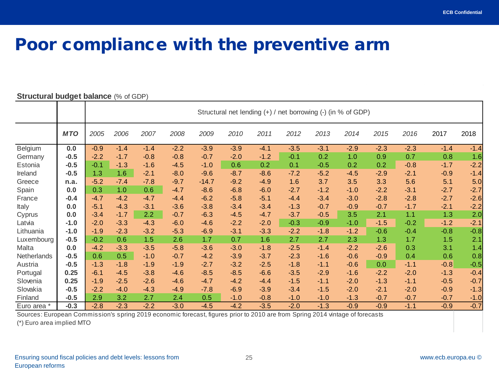#### Poor compliance with the preventive arm

|             |            | Structural net lending (+) / net borrowing (-) (in % of GDP) |        |        |        |         |        |        |        |        |        |        |        |        |        |
|-------------|------------|--------------------------------------------------------------|--------|--------|--------|---------|--------|--------|--------|--------|--------|--------|--------|--------|--------|
|             | <b>MTO</b> | 2005                                                         | 2006   | 2007   | 2008   | 2009    | 2010   | 2011   | 2012   | 2013   | 2014   | 2015   | 2016   | 2017   | 2018   |
| Belgium     | 0.0        | $-0.9$                                                       | $-1.4$ | $-1.4$ | $-2.2$ | $-3.9$  | $-3.9$ | $-4.1$ | $-3.5$ | $-3.1$ | $-2.9$ | $-2.3$ | $-2.3$ | $-1.4$ | $-1.4$ |
| Germany     | $-0.5$     | $-2.2$                                                       | $-1.7$ | $-0.8$ | $-0.8$ | $-0.7$  | $-2.0$ | $-1.2$ | $-0.1$ | 0.2    | 1.0    | 0.9    | 0.7    | 0.8    | 1.6    |
| Estonia     | $-0.5$     | $-0.1$                                                       | $-1.3$ | $-1.6$ | $-4.5$ | $-1.0$  | 0.6    | 0.2    | 0.1    | $-0.5$ | 0.2    | 0.2    | $-0.8$ | $-1.7$ | $-2.2$ |
| Ireland     | $-0.5$     | 1.3                                                          | 1.6    | $-2.1$ | $-8.0$ | $-9.6$  | $-8.7$ | $-8.6$ | $-7.2$ | $-5.2$ | $-4.5$ | $-2.9$ | $-2.1$ | $-0.9$ | $-1.4$ |
| Greece      | n.a.       | $-5.2$                                                       | $-7.4$ | $-7.8$ | $-9.7$ | $-14.7$ | $-9.2$ | $-4.9$ | 1.6    | 3.7    | 3.5    | 3.3    | 5.6    | 5.1    | 5.0    |
| Spain       | 0.0        | 0.3                                                          | 1.0    | 0.6    | $-4.7$ | $-8.6$  | $-6.8$ | $-6.0$ | $-2.7$ | $-1.2$ | $-1.0$ | $-2.2$ | $-3.1$ | $-2.7$ | $-2.7$ |
| France      | $-0.4$     | $-4.7$                                                       | $-4.2$ | $-4.7$ | $-4.4$ | $-6.2$  | $-5.8$ | $-5.1$ | $-4.4$ | $-3.4$ | $-3.0$ | $-2.8$ | $-2.8$ | $-2.7$ | $-2.6$ |
| Italy       | 0.0        | $-5.1$                                                       | $-4.3$ | $-3.1$ | $-3.6$ | $-3.8$  | $-3.4$ | $-3.4$ | $-1.3$ | $-0.7$ | $-0.9$ | $-0.7$ | $-1.7$ | $-2.1$ | $-2.2$ |
| Cyprus      | 0.0        | $-3.4$                                                       | $-1.7$ | 2.2    | $-0.7$ | $-6.3$  | $-4.5$ | $-4.7$ | $-3.7$ | $-0.5$ | 3.5    | 2.1    | 1.1    | 1.3    | 2.0    |
| Latvia      | $-1.0$     | $-2.0$                                                       | $-3.3$ | $-4.3$ | $-6.0$ | $-4.6$  | $-2.2$ | $-2.0$ | $-0.3$ | $-0.9$ | $-1.0$ | $-1.5$ | $-0.2$ | $-1.2$ | $-2.1$ |
| Lithuania   | $-1.0$     | $-1.9$                                                       | $-2.3$ | $-3.2$ | $-5.3$ | $-6.9$  | $-3.1$ | $-3.3$ | $-2.2$ | $-1.8$ | $-1.2$ | $-0.6$ | $-0.4$ | $-0.8$ | $-0.8$ |
| Luxembourg  | $-0.5$     | $-0.2$                                                       | 0.6    | 1.5    | 2.6    | 1.7     | 0.7    | 1.6    | 2.7    | 2.7    | 2.3    | 1.3    | 1.7    | 1.5    | 2.1    |
| Malta       | 0.0        | $-4.2$                                                       | $-3.3$ | $-3.5$ | $-5.8$ | $-3.6$  | $-3.0$ | $-1.8$ | $-2.5$ | $-1.4$ | $-2.2$ | $-2.6$ | 0.3    | 3.1    | 1.4    |
| Netherlands | $-0.5$     | 0.6                                                          | 0.5    | $-1.0$ | $-0.7$ | $-4.2$  | $-3.9$ | $-3.7$ | $-2.3$ | $-1.6$ | $-0.6$ | $-0.9$ | 0.4    | 0.6    | 0.8    |
| Austria     | $-0.5$     | $-1.3$                                                       | $-1.8$ | $-1.9$ | $-1.9$ | $-2.7$  | $-3.2$ | $-2.5$ | $-1.8$ | $-1.1$ | $-0.6$ | 0.0    | $-1.1$ | $-0.8$ | $-0.5$ |
| Portugal    | 0.25       | $-6.1$                                                       | $-4.5$ | $-3.8$ | $-4.6$ | $-8.5$  | $-8.5$ | $-6.6$ | $-3.5$ | $-2.9$ | $-1.6$ | $-2.2$ | $-2.0$ | $-1.3$ | $-0.4$ |
| Slovenia    | 0.25       | $-1.9$                                                       | $-2.5$ | $-2.6$ | $-4.6$ | $-4.7$  | $-4.2$ | $-4.4$ | $-1.5$ | $-1.1$ | $-2.0$ | $-1.3$ | $-1.1$ | $-0.5$ | $-0.7$ |
| Slovakia    | $-0.5$     | $-2.2$                                                       | $-4.0$ | $-4.3$ | $-4.9$ | $-7.8$  | $-6.9$ | $-3.9$ | $-3.4$ | $-1.5$ | $-2.0$ | $-2.1$ | $-2.0$ | $-0.9$ | $-1.3$ |
| Finland     | $-0.5$     | 2.9                                                          | 3.2    | 2.7    | 2.4    | 0.5     | $-1.0$ | $-0.8$ | $-1.0$ | $-1.0$ | $-1.3$ | $-0.7$ | $-0.7$ | $-0.7$ | $-1.0$ |
| Euro area * | $-0.3$     | $-2.8$                                                       | $-2.3$ | $-2.2$ | $-3.0$ | $-4.5$  | $-4.2$ | $-3.5$ | $-2.0$ | $-1.3$ | $-0.9$ | $-0.9$ | $-1.1$ | $-0.9$ | $-0.7$ |

#### **Structural budget balance (% of GDP)**

Sources: European Commission's spring 2019 economic forecast, figures prior to 2010 are from Spring 2014 vintage of forecasts

(\*) Euro area implied MTO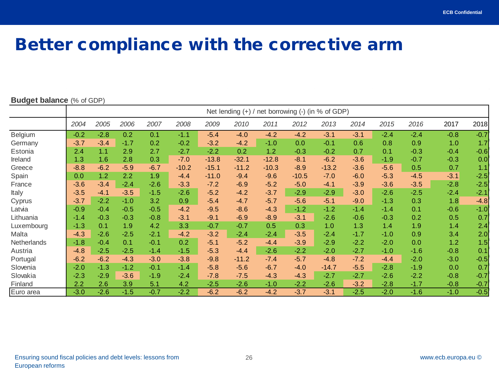#### Better compliance with the corrective arm

#### **Budget balance** (% of GDP)

|             | Net lending (+) / net borrowing (-) (in % of GDP) |        |        |        |         |         |         |         |         |         |        |        |        |        |        |
|-------------|---------------------------------------------------|--------|--------|--------|---------|---------|---------|---------|---------|---------|--------|--------|--------|--------|--------|
|             | 2004                                              | 2005   | 2006   | 2007   | 2008    | 2009    | 2010    | 2011    | 2012    | 2013    | 2014   | 2015   | 2016   | 2017   | 2018   |
| Belgium     | $-0.2$                                            | $-2.8$ | 0.2    | 0.1    | $-1.1$  | $-5.4$  | $-4.0$  | $-4.2$  | $-4.2$  | $-3.1$  | $-3.1$ | $-2.4$ | $-2.4$ | $-0.8$ | $-0.7$ |
| Germany     | $-3.7$                                            | $-3.4$ | $-1.7$ | 0.2    | $-0.2$  | $-3.2$  | $-4.2$  | $-1.0$  | 0.0     | $-0.1$  | 0.6    | 0.8    | 0.9    | 1.0    | 1.7    |
| Estonia     | 2.4                                               | 1.1    | 2.9    | 2.7    | $-2.7$  | $-2.2$  | 0.2     | 1.2     | $-0.3$  | $-0.2$  | 0.7    | 0.1    | $-0.3$ | $-0.4$ | $-0.6$ |
| Ireland     | 1.3                                               | 1.6    | 2.8    | 0.3    | $-7.0$  | $-13.8$ | $-32.1$ | $-12.8$ | $-8.1$  | $-6.2$  | $-3.6$ | $-1.9$ | $-0.7$ | $-0.3$ | 0.0    |
| Greece      | $-8.8$                                            | $-6.2$ | $-5.9$ | $-6.7$ | $-10.2$ | $-15.1$ | $-11.2$ | $-10.3$ | $-8.9$  | $-13.2$ | $-3.6$ | $-5.6$ | 0.5    | 0.7    | 1.1    |
| Spain       | 0.0                                               | 1.2    | 2.2    | 1.9    | $-4.4$  | $-11.0$ | $-9.4$  | $-9.6$  | $-10.5$ | $-7.0$  | $-6.0$ | $-5.3$ | $-4.5$ | $-3.1$ | $-2.5$ |
| France      | $-3.6$                                            | $-3.4$ | $-2.4$ | $-2.6$ | $-3.3$  | $-7.2$  | $-6.9$  | $-5.2$  | $-5.0$  | $-4.1$  | $-3.9$ | $-3.6$ | $-3.5$ | $-2.8$ | $-2.5$ |
| Italy       | $-3.5$                                            | $-4.1$ | $-3.5$ | $-1.5$ | $-2.6$  | $-5.2$  | $-4.2$  | $-3.7$  | $-2.9$  | $-2.9$  | $-3.0$ | $-2.6$ | $-2.5$ | $-2.4$ | $-2.1$ |
| Cyprus      | $-3.7$                                            | $-2.2$ | $-1.0$ | 3.2    | 0.9     | $-5.4$  | $-4.7$  | $-5.7$  | $-5.6$  | $-5.1$  | $-9.0$ | $-1.3$ | 0.3    | 1.8    | $-4.8$ |
| Latvia      | $-0.9$                                            | $-0.4$ | $-0.5$ | $-0.5$ | $-4.2$  | $-9.5$  | $-8.6$  | $-4.3$  | $-1.2$  | $-1.2$  | $-1.4$ | $-1.4$ | 0.1    | $-0.6$ | $-1.0$ |
| Lithuania   | $-1.4$                                            | $-0.3$ | $-0.3$ | $-0.8$ | $-3.1$  | $-9.1$  | $-6.9$  | $-8.9$  | $-3.1$  | $-2.6$  | $-0.6$ | $-0.3$ | 0.2    | 0.5    | 0.7    |
| Luxembourg  | $-1.3$                                            | 0.1    | 1.9    | 4.2    | 3.3     | $-0.7$  | $-0.7$  | 0.5     | 0.3     | 1.0     | 1.3    | 1.4    | 1.9    | 1.4    | 2.4    |
| Malta       | $-4.3$                                            | $-2.6$ | $-2.5$ | $-2.1$ | $-4.2$  | $-3.2$  | $-2.4$  | $-2.4$  | $-3.5$  | $-2.4$  | $-1.7$ | $-1.0$ | 0.9    | 3.4    | 2.0    |
| Netherlands | $-1.8$                                            | $-0.4$ | 0.1    | $-0.1$ | 0.2     | $-5.1$  | $-5.2$  | $-4.4$  | $-3.9$  | $-2.9$  | $-2.2$ | $-2.0$ | 0.0    | 1.2    | 1.5    |
| Austria     | $-4.8$                                            | $-2.5$ | $-2.5$ | $-1.4$ | $-1.5$  | $-5.3$  | $-4.4$  | $-2.6$  | $-2.2$  | $-2.0$  | $-2.7$ | $-1.0$ | $-1.6$ | $-0.8$ | 0.1    |
| Portugal    | $-6.2$                                            | $-6.2$ | $-4.3$ | $-3.0$ | $-3.8$  | $-9.8$  | $-11.2$ | $-7.4$  | $-5.7$  | $-4.8$  | $-7.2$ | $-4.4$ | $-2.0$ | $-3.0$ | $-0.5$ |
| Slovenia    | $-2.0$                                            | $-1.3$ | $-1.2$ | $-0.1$ | $-1.4$  | $-5.8$  | $-5.6$  | $-6.7$  | $-4.0$  | $-14.7$ | $-5.5$ | $-2.8$ | $-1.9$ | 0.0    | 0.7    |
| Slovakia    | $-2.3$                                            | $-2.9$ | $-3.6$ | $-1.9$ | $-2.4$  | $-7.8$  | $-7.5$  | $-4.3$  | $-4.3$  | $-2.7$  | $-2.7$ | $-2.6$ | $-2.2$ | $-0.8$ | $-0.7$ |
| Finland     | 2.2                                               | 2.6    | 3.9    | 5.1    | 4.2     | $-2.5$  | $-2.6$  | $-1.0$  | $-2.2$  | $-2.6$  | $-3.2$ | $-2.8$ | $-1.7$ | $-0.8$ | $-0.7$ |
| Euro area   | $-3.0$                                            | $-2.6$ | $-1.5$ | $-0.7$ | $-2.2$  | $-6.2$  | $-6.2$  | $-4.2$  | $-3.7$  | $-3.1$  | $-2.5$ | $-2.0$ | $-1.6$ | $-1.0$ | $-0.5$ |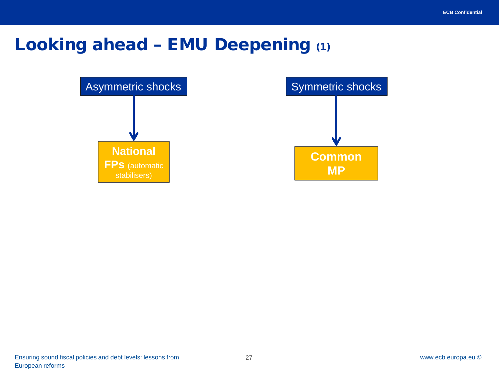### Looking ahead – EMU Deepening (1)

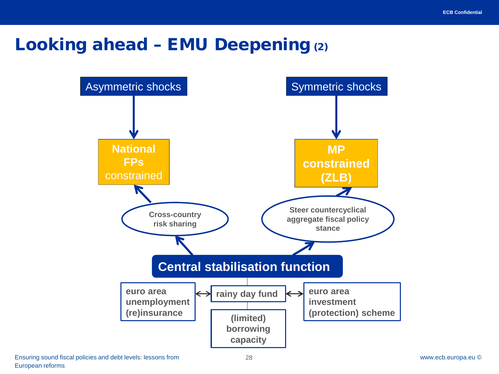#### Looking ahead – EMU Deepening (2)

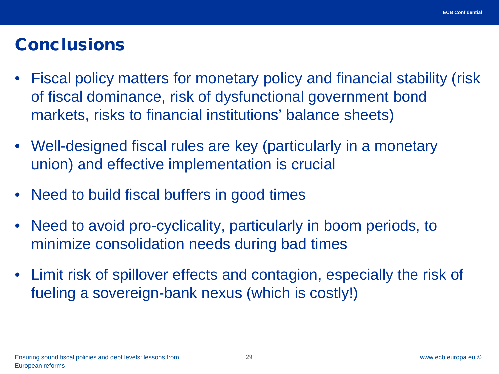#### **Conclusions**

- Fiscal policy matters for monetary policy and financial stability (risk of fiscal dominance, risk of dysfunctional government bond markets, risks to financial institutions' balance sheets)
- Well-designed fiscal rules are key (particularly in a monetary union) and effective implementation is crucial
- Need to build fiscal buffers in good times
- Need to avoid pro-cyclicality, particularly in boom periods, to minimize consolidation needs during bad times
- Limit risk of spillover effects and contagion, especially the risk of fueling a sovereign-bank nexus (which is costly!)